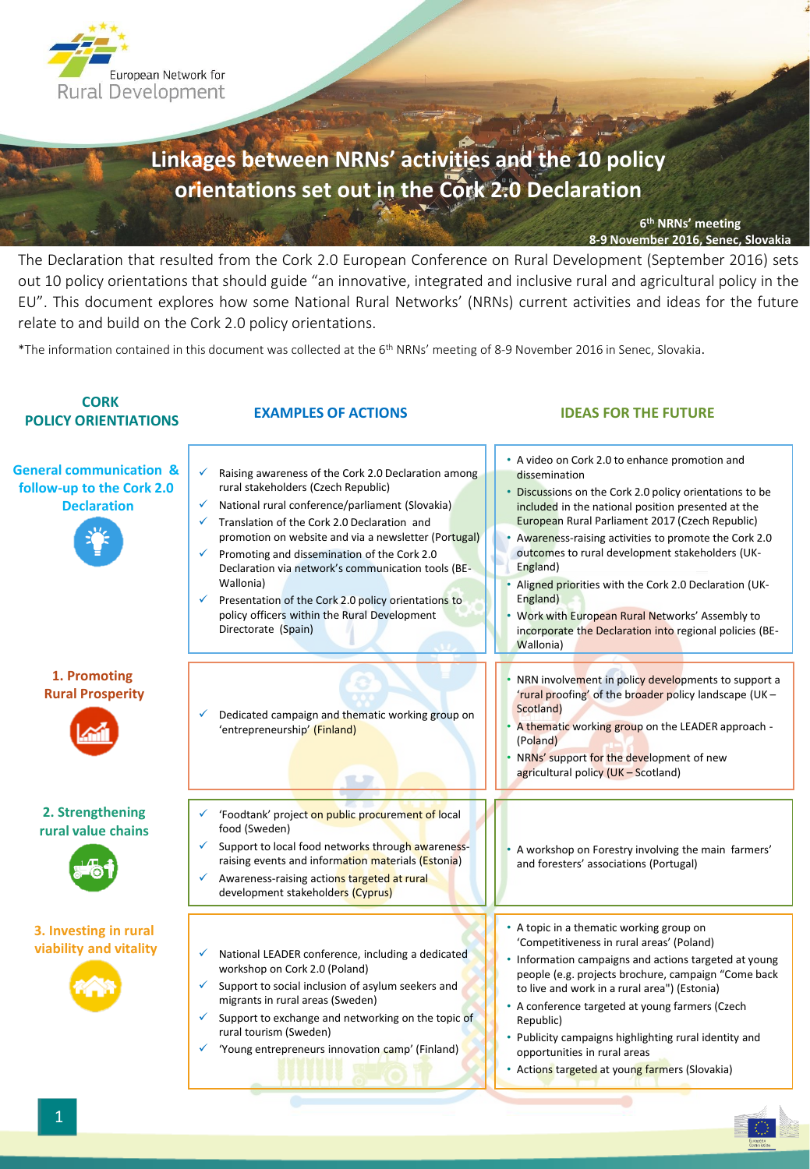

# **Linkages between NRNs' activities and the 10 policy orientations set out in the Cork 2.0 Declaration**

**6 th NRNs' meeting**

**8-9 November 2016, Senec, Slovakia**

The Declaration that resulted from the Cork 2.0 European Conference on Rural Development (September 2016) sets out 10 policy orientations that should guide "an innovative, integrated and inclusive rural and agricultural policy in the EU". This document explores how some National Rural Networks' (NRNs) current activities and ideas for the future relate to and build on the Cork 2.0 policy orientations.

\*The information contained in this document was collected at the 6<sup>th</sup> NRNs' meeting of 8-9 November 2016 in Senec, Slovakia.

#### **CORK POLICY ORIENTIATIONS 1. Promoting Rural Prosperity** Dedicated campaign and thematic working group on 'entrepreneurship' (Finland) **EXAMPLES OF ACTIONS IDEAS FOR THE FUTURE 2. Strengthening rural value chains** 'Foodtank' project on public procurement of local food (Sweden) Support to local food networks through awarenessraising events and information materials (Estonia) Awareness-raising actions targeted at rural development stakeholders (Cyprus) **3. Investing in rural viability and vitality**  $\sqrt{\frac{1}{1+\frac{1}{1+\frac{1}{1+\frac{1}{1+\frac{1}{1+\frac{1}{1+\frac{1}{1+\frac{1}{1+\frac{1}{1+\frac{1}{1+\frac{1}{1+\frac{1}{1+\frac{1}{1+\frac{1}{1+\frac{1}{1+\frac{1}{1+\frac{1}{1+\frac{1}{1+\frac{1}{1+\frac{1}{1+\frac{1}{1+\frac{1}{1+\frac{1}{1+\frac{1}{1+\frac{1}{1+\frac{1}{1+\frac{1}{1+\frac{1}{1+\frac{1}{1+\frac{1}{1+\frac{1}{1+\frac{1}{1+\frac$ workshop on Cork 2.0 (Poland) Support to social inclusion of asylum seekers and migrants in rural areas (Sweden) Support to exchange and networking on the topic of rural tourism (Sweden) 'Young entrepreneurs innovation camp' (Finland) • A topic in a thematic working group on 'Competitiveness in rural areas' (Poland) • Information campaigns and actions targeted at young people (e.g. projects brochure, campaign "Come back to live and work in a rural area") (Estonia) • A conference targeted at young farmers (Czech Republic) • Publicity campaigns highlighting rural identity and opportunities in rural areas • Actions targeted at young farmers (Slovakia) NRN involvement in policy developments to support a 'rural proofing' of the broader policy landscape (UK – Scotland) • A thematic working group on the LEADER approach - (Poland) NRNs' support for the development of new agricultural policy (UK - Scotland) • A workshop on Forestry involving the main farmers' and foresters' associations (Portugal) **General communication & follow-up to the Cork 2.0 Declaration** Raising awareness of the Cork 2.0 Declaration among rural stakeholders (Czech Republic) National rural conference/parliament (Slovakia) Translation of the Cork 2.0 Declaration and promotion on website and via a newsletter (Portugal) Promoting and dissemination of the Cork 2.0 Declaration via network's communication tools (BE-Wallonia) Presentation of the Cork 2.0 policy orientations to policy officers within the Rural Development Directorate (Spain) • A video on Cork 2.0 to enhance promotion and dissemination • Discussions on the Cork 2.0 policy orientations to be included in the national position presented at the European Rural Parliament 2017 (Czech Republic) • Awareness-raising activities to promote the Cork 2.0 outcomes to rural development stakeholders (UK-England) • Aligned priorities with the Cork 2.0 Declaration (UK-England) • Work with European Rural Networks' Assembly to incorporate the Declaration into regional policies (BE-Wallonia)

**DRAFT**